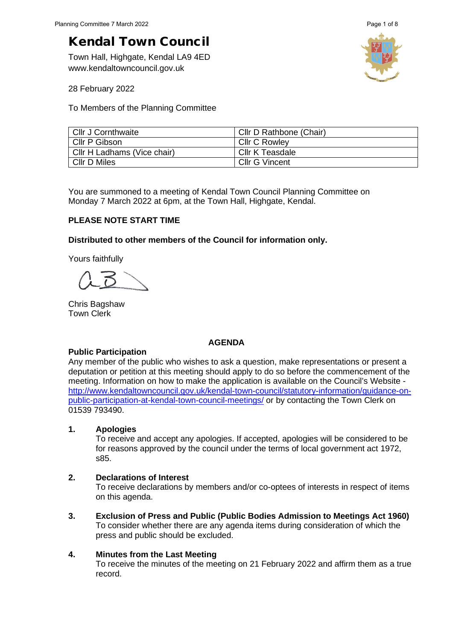# Kendal Town Council

Town Hall, Highgate, Kendal LA9 4ED www.kendaltowncouncil.gov.uk



28 February 2022

To Members of the Planning Committee

| Cllr J Cornthwaite          | Cllr D Rathbone (Chair) |
|-----------------------------|-------------------------|
| Cllr P Gibson               | <b>CIIr C Rowley</b>    |
| Cllr H Ladhams (Vice chair) | Cllr K Teasdale         |
| <b>CIIr D Miles</b>         | Cllr G Vincent          |

You are summoned to a meeting of Kendal Town Council Planning Committee on Monday 7 March 2022 at 6pm, at the Town Hall, Highgate, Kendal.

### **PLEASE NOTE START TIME**

### **Distributed to other members of the Council for information only.**

Yours faithfully

Chris Bagshaw Town Clerk

### **AGENDA**

### **Public Participation**

Any member of the public who wishes to ask a question, make representations or present a deputation or petition at this meeting should apply to do so before the commencement of the meeting. Information on how to make the application is available on the Council's Website [http://www.kendaltowncouncil.gov.uk/kendal-town-council/statutory-information/guidance-on](http://www.kendaltowncouncil.gov.uk/kendal-town-council/statutory-information/guidance-on-public-participation-at-kendal-town-council-meetings/)[public-participation-at-kendal-town-council-meetings/](http://www.kendaltowncouncil.gov.uk/kendal-town-council/statutory-information/guidance-on-public-participation-at-kendal-town-council-meetings/) or by contacting the Town Clerk on 01539 793490.

### **1. Apologies**

To receive and accept any apologies. If accepted, apologies will be considered to be for reasons approved by the council under the terms of local government act 1972, s85.

## **2. Declarations of Interest**

To receive declarations by members and/or co-optees of interests in respect of items on this agenda.

**3. Exclusion of Press and Public (Public Bodies Admission to Meetings Act 1960)**  To consider whether there are any agenda items during consideration of which the press and public should be excluded.

## **4. Minutes from the Last Meeting**

To receive the minutes of the meeting on 21 February 2022 and affirm them as a true record.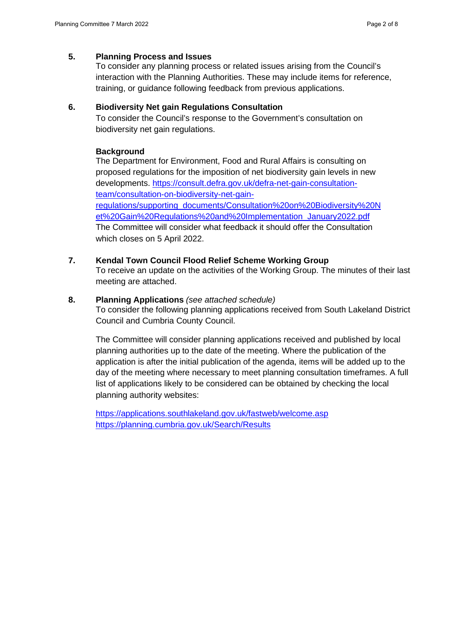### **5. Planning Process and Issues**

To consider any planning process or related issues arising from the Council's interaction with the Planning Authorities. These may include items for reference, training, or guidance following feedback from previous applications.

### **6. Biodiversity Net gain Regulations Consultation**

To consider the Council's response to the Government's consultation on biodiversity net gain regulations.

#### **Background**

The Department for Environment, Food and Rural Affairs is consulting on proposed regulations for the imposition of net biodiversity gain levels in new developments. [https://consult.defra.gov.uk/defra-net-gain-consultation](https://consult.defra.gov.uk/defra-net-gain-consultation-team/consultation-on-biodiversity-net-gain-regulations/supporting_documents/Consultation%20on%20Biodiversity%20Net%20Gain%20Regulations%20and%20Implementation_January2022.pdf)[team/consultation-on-biodiversity-net-gain](https://consult.defra.gov.uk/defra-net-gain-consultation-team/consultation-on-biodiversity-net-gain-regulations/supporting_documents/Consultation%20on%20Biodiversity%20Net%20Gain%20Regulations%20and%20Implementation_January2022.pdf)[regulations/supporting\\_documents/Consultation%20on%20Biodiversity%20N](https://consult.defra.gov.uk/defra-net-gain-consultation-team/consultation-on-biodiversity-net-gain-regulations/supporting_documents/Consultation%20on%20Biodiversity%20Net%20Gain%20Regulations%20and%20Implementation_January2022.pdf) [et%20Gain%20Regulations%20and%20Implementation\\_January2022.pdf](https://consult.defra.gov.uk/defra-net-gain-consultation-team/consultation-on-biodiversity-net-gain-regulations/supporting_documents/Consultation%20on%20Biodiversity%20Net%20Gain%20Regulations%20and%20Implementation_January2022.pdf) The Committee will consider what feedback it should offer the Consultation which closes on 5 April 2022.

### **7. Kendal Town Council Flood Relief Scheme Working Group**

To receive an update on the activities of the Working Group. The minutes of their last meeting are attached.

### **8. Planning Applications** *(see attached schedule)*

To consider the following planning applications received from South Lakeland District Council and Cumbria County Council.

The Committee will consider planning applications received and published by local planning authorities up to the date of the meeting. Where the publication of the application is after the initial publication of the agenda, items will be added up to the day of the meeting where necessary to meet planning consultation timeframes. A full list of applications likely to be considered can be obtained by checking the local planning authority websites:

<https://applications.southlakeland.gov.uk/fastweb/welcome.asp> <https://planning.cumbria.gov.uk/Search/Results>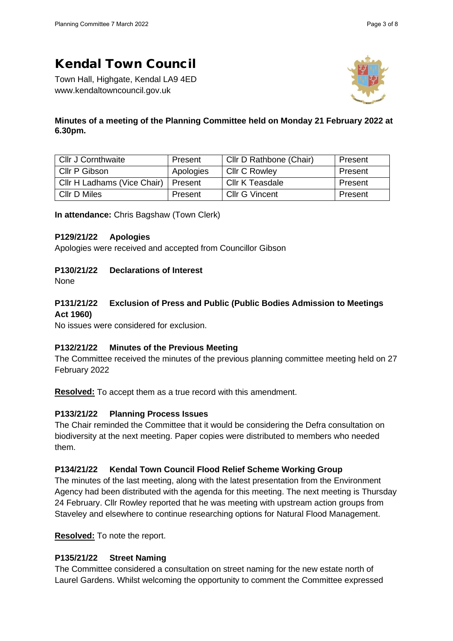# Kendal Town Council

Town Hall, Highgate, Kendal LA9 4ED www.kendaltowncouncil.gov.uk



## **Minutes of a meeting of the Planning Committee held on Monday 21 February 2022 at 6.30pm.**

| <b>Cllr J Cornthwaite</b>   | Present   | Cllr D Rathbone (Chair) | Present |
|-----------------------------|-----------|-------------------------|---------|
| Cllr P Gibson               | Apologies | <b>Cllr C Rowley</b>    | Present |
| Cllr H Ladhams (Vice Chair) | Present   | Cllr K Teasdale         | Present |
| CIIr D Miles                | Present   | <b>Cllr G Vincent</b>   | Present |

**In attendance:** Chris Bagshaw (Town Clerk)

## **P129/21/22 Apologies**

Apologies were received and accepted from Councillor Gibson

## **P130/21/22 Declarations of Interest**

None

# **P131/21/22 Exclusion of Press and Public (Public Bodies Admission to Meetings Act 1960)**

No issues were considered for exclusion.

## **P132/21/22 Minutes of the Previous Meeting**

The Committee received the minutes of the previous planning committee meeting held on 27 February 2022

**Resolved:** To accept them as a true record with this amendment.

## **P133/21/22 Planning Process Issues**

The Chair reminded the Committee that it would be considering the Defra consultation on biodiversity at the next meeting. Paper copies were distributed to members who needed them.

## **P134/21/22 Kendal Town Council Flood Relief Scheme Working Group**

The minutes of the last meeting, along with the latest presentation from the Environment Agency had been distributed with the agenda for this meeting. The next meeting is Thursday 24 February. Cllr Rowley reported that he was meeting with upstream action groups from Staveley and elsewhere to continue researching options for Natural Flood Management.

**Resolved:** To note the report.

## **P135/21/22 Street Naming**

The Committee considered a consultation on street naming for the new estate north of Laurel Gardens. Whilst welcoming the opportunity to comment the Committee expressed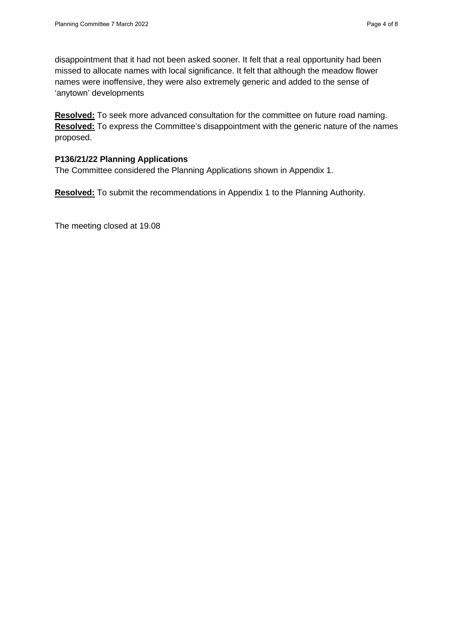disappointment that it had not been asked sooner. It felt that a real opportunity had been missed to allocate names with local significance. It felt that although the meadow flower names were inoffensive, they were also extremely generic and added to the sense of 'anytown' developments

**Resolved:** To seek more advanced consultation for the committee on future road naming. **Resolved:** To express the Committee's disappointment with the generic nature of the names proposed.

### **P136/21/22 Planning Applications**

The Committee considered the Planning Applications shown in Appendix 1.

**Resolved:** To submit the recommendations in Appendix 1 to the Planning Authority.

The meeting closed at 19.08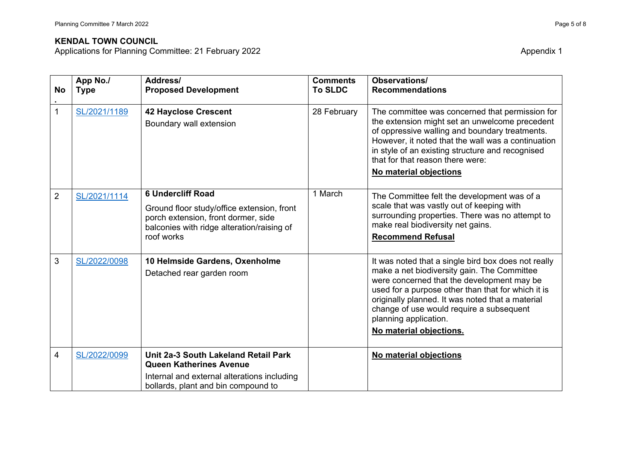### **KENDAL TOWN COUNCIL**

Applications for Planning Committee: 21 February 2022 Appendix 1

| <b>No</b>      | App No./<br><b>Type</b> | Address/<br><b>Proposed Development</b>                                                                                                                                   | <b>Comments</b><br><b>To SLDC</b> | <b>Observations/</b><br><b>Recommendations</b>                                                                                                                                                                                                                                                                                                             |
|----------------|-------------------------|---------------------------------------------------------------------------------------------------------------------------------------------------------------------------|-----------------------------------|------------------------------------------------------------------------------------------------------------------------------------------------------------------------------------------------------------------------------------------------------------------------------------------------------------------------------------------------------------|
| $\mathbf{1}$   | SL/2021/1189            | <b>42 Hayclose Crescent</b><br>Boundary wall extension                                                                                                                    | 28 February                       | The committee was concerned that permission for<br>the extension might set an unwelcome precedent<br>of oppressive walling and boundary treatments.<br>However, it noted that the wall was a continuation<br>in style of an existing structure and recognised<br>that for that reason there were:<br>No material objections                                |
| $\overline{2}$ | SL/2021/1114            | <b>6 Undercliff Road</b><br>Ground floor study/office extension, front<br>porch extension, front dormer, side<br>balconies with ridge alteration/raising of<br>roof works | 1 March                           | The Committee felt the development was of a<br>scale that was vastly out of keeping with<br>surrounding properties. There was no attempt to<br>make real biodiversity net gains.<br><b>Recommend Refusal</b>                                                                                                                                               |
| 3              | SL/2022/0098            | 10 Helmside Gardens, Oxenholme<br>Detached rear garden room                                                                                                               |                                   | It was noted that a single bird box does not really<br>make a net biodiversity gain. The Committee<br>were concerned that the development may be<br>used for a purpose other than that for which it is<br>originally planned. It was noted that a material<br>change of use would require a subsequent<br>planning application.<br>No material objections. |
| 4              | SL/2022/0099            | Unit 2a-3 South Lakeland Retail Park<br><b>Queen Katherines Avenue</b><br>Internal and external alterations including<br>bollards, plant and bin compound to              |                                   | No material objections                                                                                                                                                                                                                                                                                                                                     |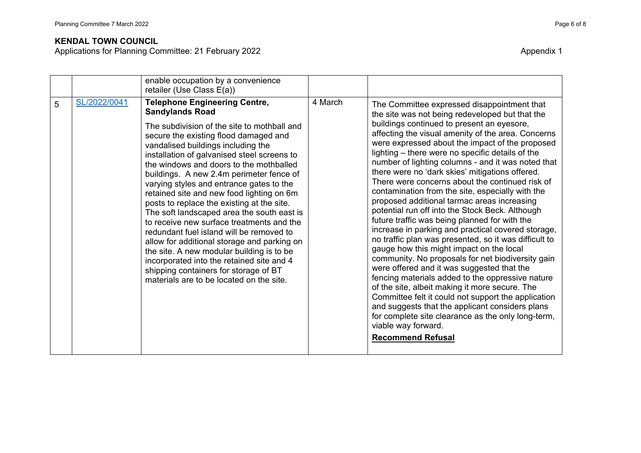### **KENDAL TOWN COUNCIL**

Applications for Planning Committee: 21 February 2022 Appendix 1

|   |              | enable occupation by a convenience                                                                                                                                                                                                                                                                                                                                                                                                                                                                                                                                                                                                                                                                                                                                                                                                             |         |                                                                                                                                                                                                                                                                                                                                                                                                                                                                                                                                                                                                                                                                                                                                                                                                                                                                                                                                                                                                                                                                                                                                                                                                                                                                     |
|---|--------------|------------------------------------------------------------------------------------------------------------------------------------------------------------------------------------------------------------------------------------------------------------------------------------------------------------------------------------------------------------------------------------------------------------------------------------------------------------------------------------------------------------------------------------------------------------------------------------------------------------------------------------------------------------------------------------------------------------------------------------------------------------------------------------------------------------------------------------------------|---------|---------------------------------------------------------------------------------------------------------------------------------------------------------------------------------------------------------------------------------------------------------------------------------------------------------------------------------------------------------------------------------------------------------------------------------------------------------------------------------------------------------------------------------------------------------------------------------------------------------------------------------------------------------------------------------------------------------------------------------------------------------------------------------------------------------------------------------------------------------------------------------------------------------------------------------------------------------------------------------------------------------------------------------------------------------------------------------------------------------------------------------------------------------------------------------------------------------------------------------------------------------------------|
|   |              | retailer (Use Class E(a))                                                                                                                                                                                                                                                                                                                                                                                                                                                                                                                                                                                                                                                                                                                                                                                                                      |         |                                                                                                                                                                                                                                                                                                                                                                                                                                                                                                                                                                                                                                                                                                                                                                                                                                                                                                                                                                                                                                                                                                                                                                                                                                                                     |
| 5 | SL/2022/0041 | <b>Telephone Engineering Centre,</b><br><b>Sandylands Road</b><br>The subdivision of the site to mothball and<br>secure the existing flood damaged and<br>vandalised buildings including the<br>installation of galvanised steel screens to<br>the windows and doors to the mothballed<br>buildings. A new 2.4m perimeter fence of<br>varying styles and entrance gates to the<br>retained site and new food lighting on 6m<br>posts to replace the existing at the site.<br>The soft landscaped area the south east is<br>to receive new surface treatments and the<br>redundant fuel island will be removed to<br>allow for additional storage and parking on<br>the site. A new modular building is to be<br>incorporated into the retained site and 4<br>shipping containers for storage of BT<br>materials are to be located on the site. | 4 March | The Committee expressed disappointment that<br>the site was not being redeveloped but that the<br>buildings continued to present an eyesore,<br>affecting the visual amenity of the area. Concerns<br>were expressed about the impact of the proposed<br>lighting – there were no specific details of the<br>number of lighting columns - and it was noted that<br>there were no 'dark skies' mitigations offered.<br>There were concerns about the continued risk of<br>contamination from the site, especially with the<br>proposed additional tarmac areas increasing<br>potential run off into the Stock Beck. Although<br>future traffic was being planned for with the<br>increase in parking and practical covered storage,<br>no traffic plan was presented, so it was difficult to<br>gauge how this might impact on the local<br>community. No proposals for net biodiversity gain<br>were offered and it was suggested that the<br>fencing materials added to the oppressive nature<br>of the site, albeit making it more secure. The<br>Committee felt it could not support the application<br>and suggests that the applicant considers plans<br>for complete site clearance as the only long-term,<br>viable way forward.<br><b>Recommend Refusal</b> |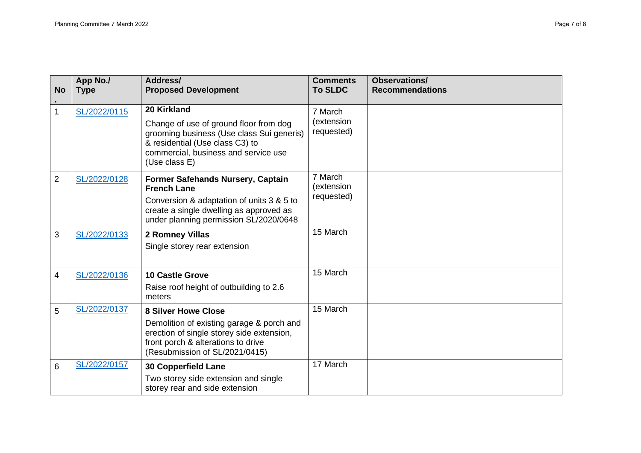| <b>No</b>      | App No./<br><b>Type</b> | Address/<br><b>Proposed Development</b>                                                                                                                                         | <b>Comments</b><br><b>To SLDC</b> | <b>Observations/</b><br><b>Recommendations</b> |
|----------------|-------------------------|---------------------------------------------------------------------------------------------------------------------------------------------------------------------------------|-----------------------------------|------------------------------------------------|
| 1              | SL/2022/0115            | 20 Kirkland                                                                                                                                                                     | 7 March<br>(extension             |                                                |
|                |                         | Change of use of ground floor from dog<br>grooming business (Use class Sui generis)<br>& residential (Use class C3) to<br>commercial, business and service use<br>(Use class E) | requested)                        |                                                |
| $\overline{2}$ | SL/2022/0128            | <b>Former Safehands Nursery, Captain</b><br><b>French Lane</b>                                                                                                                  | 7 March<br>(extension             |                                                |
|                |                         | Conversion & adaptation of units 3 & 5 to<br>create a single dwelling as approved as<br>under planning permission SL/2020/0648                                                  | requested)                        |                                                |
| 3              | SL/2022/0133            | 2 Romney Villas<br>Single storey rear extension                                                                                                                                 | 15 March                          |                                                |
| 4              | SL/2022/0136            | <b>10 Castle Grove</b><br>Raise roof height of outbuilding to 2.6<br>meters                                                                                                     | 15 March                          |                                                |
| 5              | SL/2022/0137            | <b>8 Silver Howe Close</b>                                                                                                                                                      | 15 March                          |                                                |
|                |                         | Demolition of existing garage & porch and<br>erection of single storey side extension,<br>front porch & alterations to drive<br>(Resubmission of SL/2021/0415)                  |                                   |                                                |
| 6              | SL/2022/0157            | <b>30 Copperfield Lane</b>                                                                                                                                                      | 17 March                          |                                                |
|                |                         | Two storey side extension and single<br>storey rear and side extension                                                                                                          |                                   |                                                |